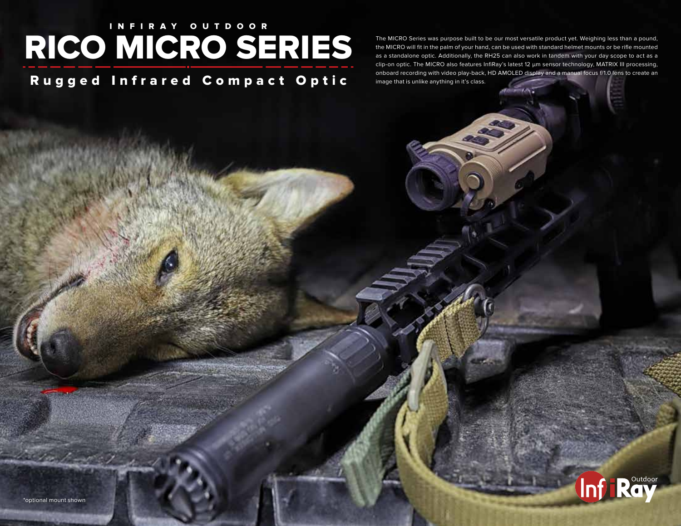## I N FIRAY OUTDOOR RICO MICRO SERIES

Rugged Infrared Compact Optic

The MICRO Series was purpose built to be our most versatile product yet. Weighing less than a pound, the MICRO will fit in the palm of your hand, can be used with standard helmet mounts or be rifle mounted as a standalone optic. Additionally, the RH25 can also work in tandem with your day scope to act as a clip-on optic. The MICRO also features InfiRay's latest 12 μm sensor technology, MATRIX III processing, onboard recording with video play-back, HD AMOLED display and a manual focus f/1.0 lens to create an image that is unlike anything in it's class.